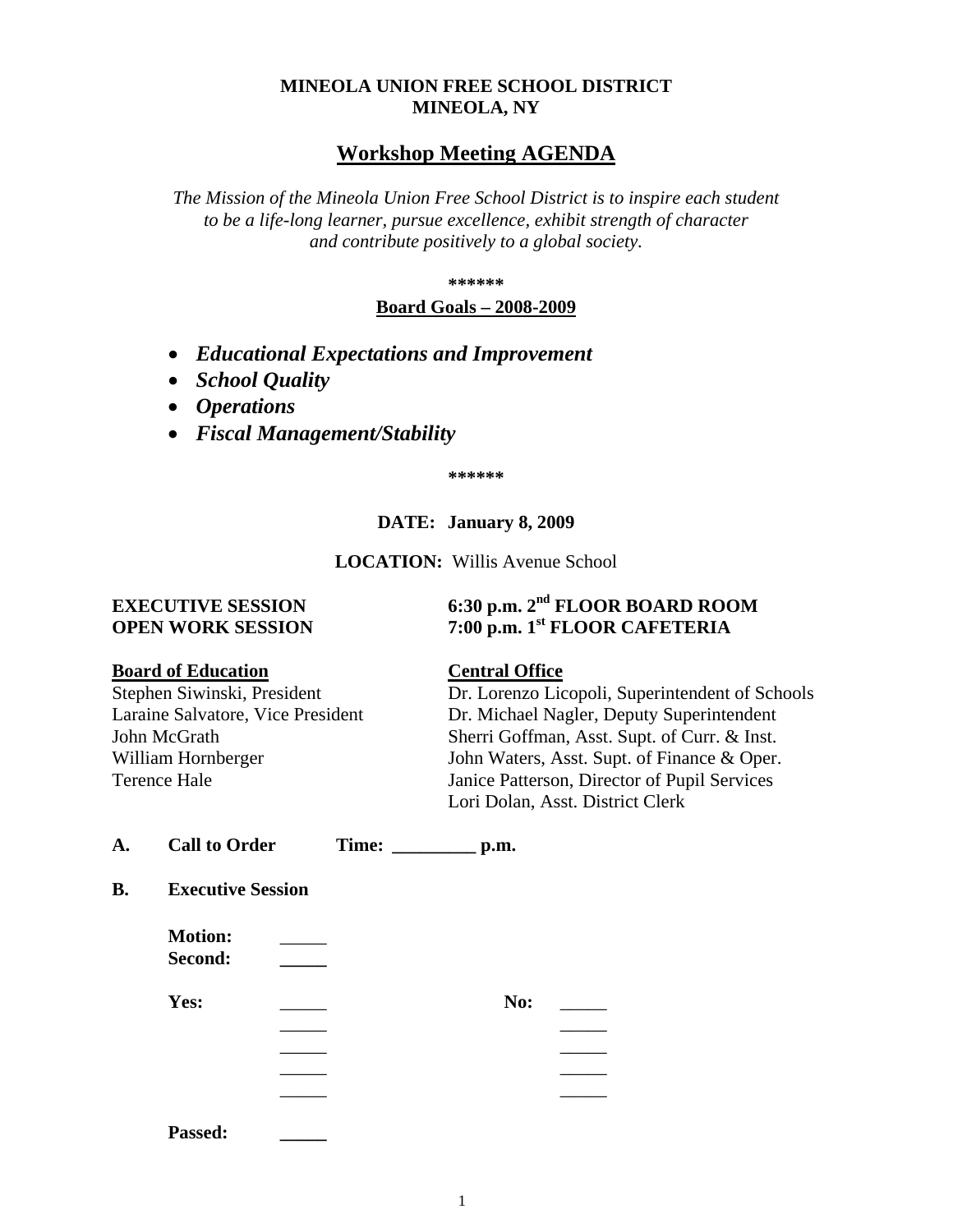## **MINEOLA UNION FREE SCHOOL DISTRICT MINEOLA, NY**

# **Workshop Meeting AGENDA**

*The Mission of the Mineola Union Free School District is to inspire each student to be a life-long learner, pursue excellence, exhibit strength of character and contribute positively to a global society.*

**\*\*\*\*\*\***

### **Board Goals – 2008-2009**

- *Educational Expectations and Improvement*
- *School Quality*
- *Operations*
- *Fiscal Management/Stability*

**\*\*\*\*\*\***

## **DATE: January 8, 2009**

**LOCATION:** Willis Avenue School

# **EXECUTIVE SESSION 6:30 p.m. 2nd FLOOR BOARD ROOM OPEN WORK SESSION 7:00 p.m. 1st FLOOR CAFETERIA**

### **Board of Education Central Office**

Stephen Siwinski, President Dr. Lorenzo Licopoli, Superintendent of Schools Laraine Salvatore, Vice President Dr. Michael Nagler, Deputy Superintendent John McGrath Sherri Goffman, Asst. Supt. of Curr. & Inst. William Hornberger John Waters, Asst. Supt. of Finance & Oper. Terence Hale Janice Patterson, Director of Pupil Services Lori Dolan, Asst. District Clerk

| А. | <b>Call to Order</b> | Time: | p.m. |
|----|----------------------|-------|------|
|    |                      |       |      |

**B. Executive Session**

| <b>Motion:</b><br>Second: |     |  |
|---------------------------|-----|--|
| Yes:                      | No: |  |
|                           |     |  |
|                           |     |  |
|                           |     |  |
|                           |     |  |
| Passed:                   |     |  |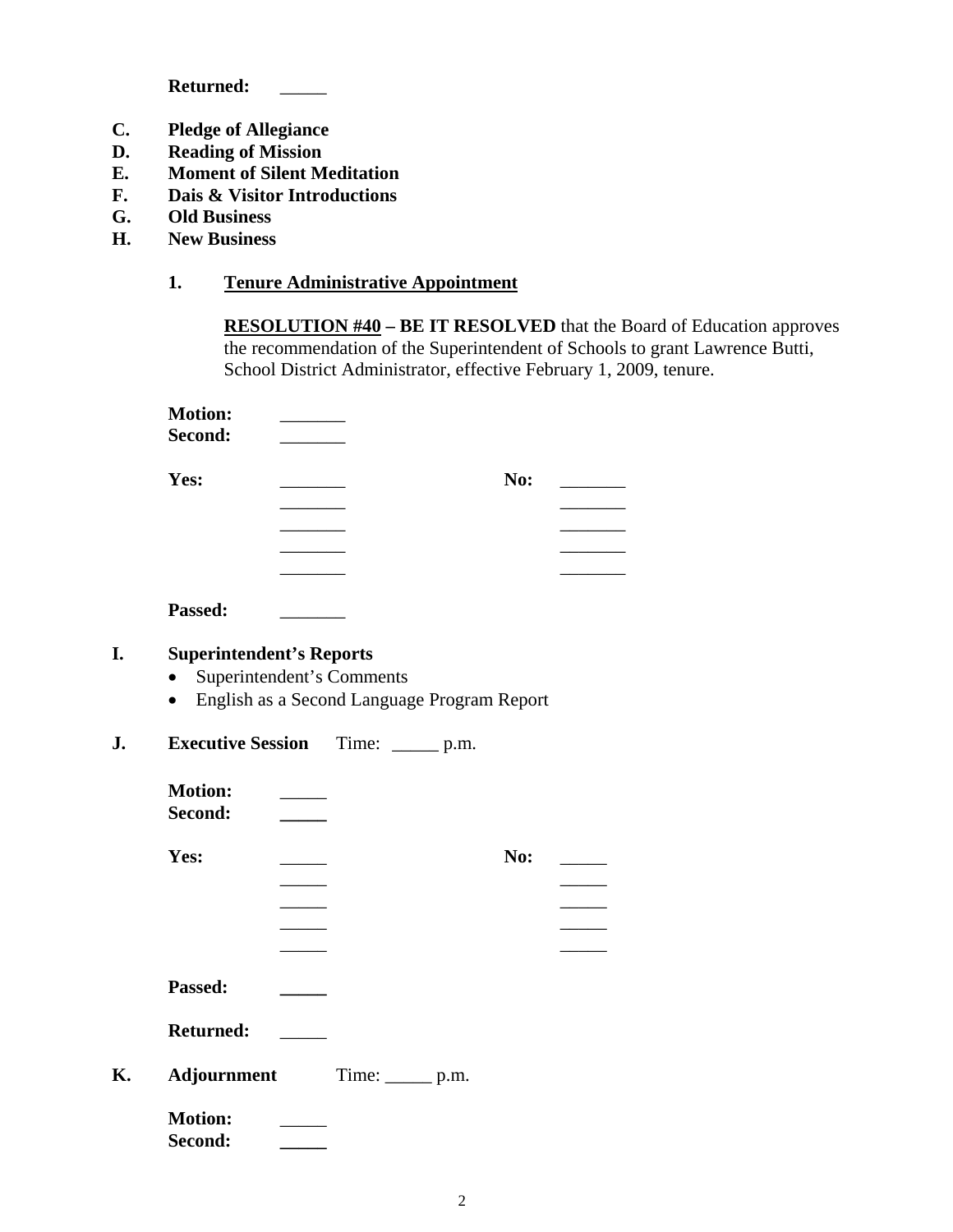Returned: \_\_\_\_

- **C. Pledge of Allegiance**
- **D. Reading of Mission**
- **E. Moment of Silent Meditation**
- **F. Dais & Visitor Introductions**
- **G. Old Business**
- **H. New Business**

## **1. Tenure Administrative Appointment**

**RESOLUTION #40 – BE IT RESOLVED** that the Board of Education approves the recommendation of the Superintendent of Schools to grant Lawrence Butti, School District Administrator, effective February 1, 2009, tenure.

| <b>Motion:</b>           |                      |                                             |     |
|--------------------------|----------------------|---------------------------------------------|-----|
| Second:                  |                      |                                             |     |
| Yes:                     |                      |                                             | No: |
|                          | $\sim$ $\sim$ $\sim$ |                                             |     |
|                          |                      |                                             |     |
|                          |                      |                                             |     |
|                          |                      |                                             |     |
| Passed:                  |                      |                                             |     |
| $\bullet$                |                      | English as a Second Language Program Report |     |
| <b>Executive Session</b> |                      | Time: $\_\_\_\_\$ p.m.                      |     |
| <b>Motion:</b>           |                      |                                             |     |
| Second:                  |                      |                                             |     |
| Yes:                     |                      |                                             | No: |
|                          |                      |                                             |     |
|                          |                      |                                             |     |
|                          |                      |                                             |     |
|                          |                      |                                             |     |
| Passed:                  |                      |                                             |     |
| <b>Returned:</b>         |                      |                                             |     |
| Adjournment              |                      | $Time:$ $p.m.$                              |     |
| <b>Motion:</b>           |                      |                                             |     |
| Second:                  |                      |                                             |     |